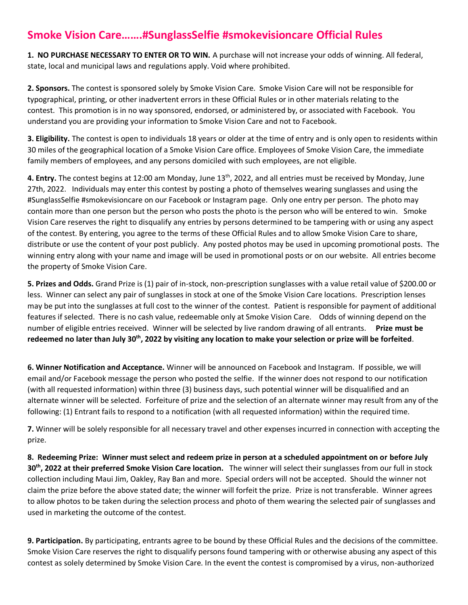## **Smoke Vision Care…….#SunglassSelfie #smokevisioncare Official Rules**

**1. NO PURCHASE NECESSARY TO ENTER OR TO WIN.** A purchase will not increase your odds of winning. All federal, state, local and municipal laws and regulations apply. Void where prohibited.

**2. Sponsors.** The contest is sponsored solely by Smoke Vision Care. Smoke Vision Care will not be responsible for typographical, printing, or other inadvertent errors in these Official Rules or in other materials relating to the contest. This promotion is in no way sponsored, endorsed, or administered by, or associated with Facebook. You understand you are providing your information to Smoke Vision Care and not to Facebook.

**3. Eligibility.** The contest is open to individuals 18 years or older at the time of entry and is only open to residents within 30 miles of the geographical location of a Smoke Vision Care office. Employees of Smoke Vision Care, the immediate family members of employees, and any persons domiciled with such employees, are not eligible.

**4. Entry.** The contest begins at 12:00 am Monday, June 13th, 2022, and all entries must be received by Monday, June 27th, 2022. Individuals may enter this contest by posting a photo of themselves wearing sunglasses and using the #SunglassSelfie #smokevisioncare on our Facebook or Instagram page. Only one entry per person. The photo may contain more than one person but the person who posts the photo is the person who will be entered to win. Smoke Vision Care reserves the right to disqualify any entries by persons determined to be tampering with or using any aspect of the contest. By entering, you agree to the terms of these Official Rules and to allow Smoke Vision Care to share, distribute or use the content of your post publicly. Any posted photos may be used in upcoming promotional posts. The winning entry along with your name and image will be used in promotional posts or on our website. All entries become the property of Smoke Vision Care.

**5. Prizes and Odds.** Grand Prize is (1) pair of in-stock, non-prescription sunglasses with a value retail value of \$200.00 or less. Winner can select any pair of sunglasses in stock at one of the Smoke Vision Care locations. Prescription lenses may be put into the sunglasses at full cost to the winner of the contest. Patient is responsible for payment of additional features if selected. There is no cash value, redeemable only at Smoke Vision Care. Odds of winning depend on the number of eligible entries received. Winner will be selected by live random drawing of all entrants. **Prize must be redeemed no later than July 30 th, 2022 by visiting any location to make your selection or prize will be forfeited**.

**6. Winner Notification and Acceptance.** Winner will be announced on Facebook and Instagram. If possible, we will email and/or Facebook message the person who posted the selfie. If the winner does not respond to our notification (with all requested information) within three (3) business days, such potential winner will be disqualified and an alternate winner will be selected. Forfeiture of prize and the selection of an alternate winner may result from any of the following: (1) Entrant fails to respond to a notification (with all requested information) within the required time.

**7.** Winner will be solely responsible for all necessary travel and other expenses incurred in connection with accepting the prize.

**8. Redeeming Prize: Winner must select and redeem prize in person at a scheduled appointment on or before July 30 th, 2022 at their preferred Smoke Vision Care location.** The winner will select their sunglasses from our full in stock collection including Maui Jim, Oakley, Ray Ban and more. Special orders will not be accepted. Should the winner not claim the prize before the above stated date; the winner will forfeit the prize. Prize is not transferable. Winner agrees to allow photos to be taken during the selection process and photo of them wearing the selected pair of sunglasses and used in marketing the outcome of the contest.

**9. Participation.** By participating, entrants agree to be bound by these Official Rules and the decisions of the committee. Smoke Vision Care reserves the right to disqualify persons found tampering with or otherwise abusing any aspect of this contest as solely determined by Smoke Vision Care. In the event the contest is compromised by a virus, non-authorized